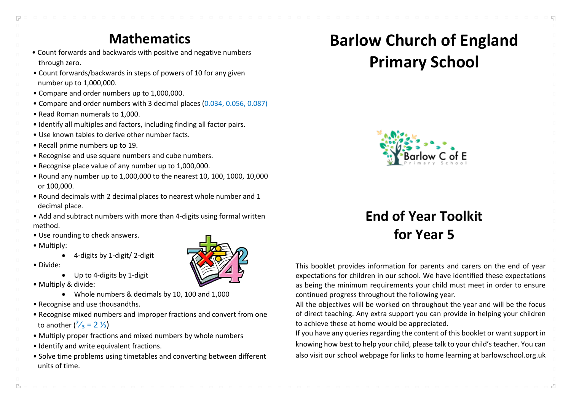#### **Mathematics**

- Count forwards and backwards with positive and negative numbers through zero.
- Count forwards/backwards in steps of powers of 10 for any given number up to 1,000,000.
- Compare and order numbers up to 1,000,000.
- Compare and order numbers with 3 decimal places (0.034, 0.056, 0.087)
- Read Roman numerals to 1,000.
- Identify all multiples and factors, including finding all factor pairs.
- Use known tables to derive other number facts.
- Recall prime numbers up to 19.
- Recognise and use square numbers and cube numbers.
- Recognise place value of any number up to 1,000,000.
- Round any number up to 1,000,000 to the nearest 10, 100, 1000, 10,000 or 100,000.
- Round decimals with 2 decimal places to nearest whole number and 1 decimal place.
- Add and subtract numbers with more than 4-digits using formal written method.
- Use rounding to check answers.
- Multiply:
	- 4-digits by 1-digit/ 2-digit
- Divide:

 $\Gamma_{\rm B}$ 

- Up to 4-digits by 1-digit
- Multiply & divide:
	- Whole numbers & decimals by 10, 100 and 1,000
- Recognise and use thousandths.
- Recognise mixed numbers and improper fractions and convert from one to another  $\binom{7}{3}$  = 2  $\frac{1}{3}$ )
- Multiply proper fractions and mixed numbers by whole numbers
- Identify and write equivalent fractions.
- Solve time problems using timetables and converting between different units of time.



# **Barlow Church of England Primary School**



## **End of Year Toolkit for Year 5**

This booklet provides information for parents and carers on the end of year expectations for children in our school. We have identified these expectations as being the minimum requirements your child must meet in order to ensure continued progress throughout the following year.

All the objectives will be worked on throughout the year and will be the focus of direct teaching. Any extra support you can provide in helping your children to achieve these at home would be appreciated.

If you have any queries regarding the content of this booklet or want support in knowing how best to help your child, please talk to your child's teacher. You can also visit our school webpage for links to home learning at barlowschool.org.uk